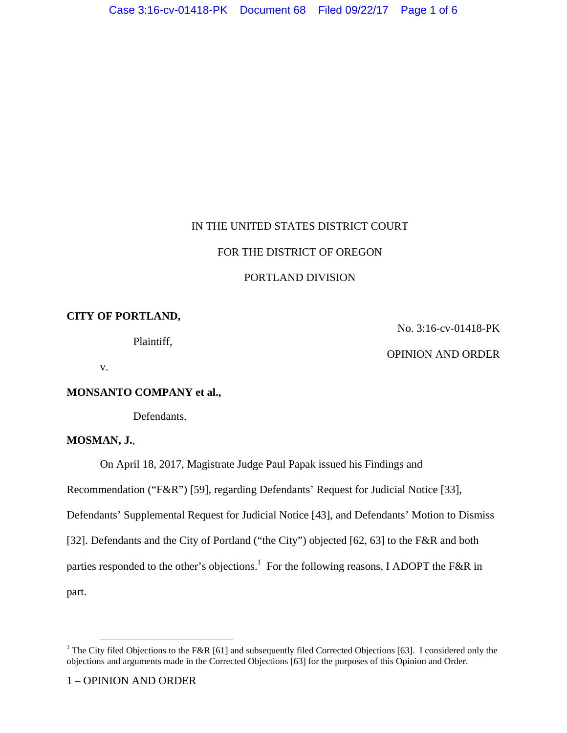# IN THE UNITED STATES DISTRICT COURT

## FOR THE DISTRICT OF OREGON

# PORTLAND DIVISION

# **CITY OF PORTLAND,**

Plaintiff,

No. 3:16-cv-01418-PK

OPINION AND ORDER

v.

## **MONSANTO COMPANY et al.,**

Defendants.

## **MOSMAN, J.**,

On April 18, 2017, Magistrate Judge Paul Papak issued his Findings and

Recommendation ("F&R") [59], regarding Defendants' Request for Judicial Notice [33],

Defendants' Supplemental Request for Judicial Notice [43], and Defendants' Motion to Dismiss

[32]. Defendants and the City of Portland ("the City") objected [62, 63] to the F&R and both

parties responded to the other's objections.<sup>1</sup> For the following reasons, I ADOPT the F&R in

part.

<sup>&</sup>lt;sup>1</sup> The City filed Objections to the F&R [61] and subsequently filed Corrected Objections [63]. I considered only the objections and arguments made in the Corrected Objections [63] for the purposes of this Opinion and Order.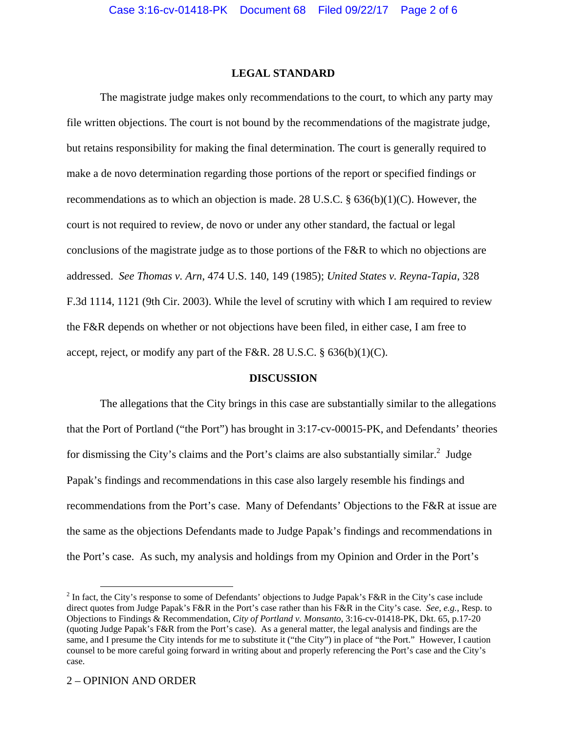### **LEGAL STANDARD**

The magistrate judge makes only recommendations to the court, to which any party may file written objections. The court is not bound by the recommendations of the magistrate judge, but retains responsibility for making the final determination. The court is generally required to make a de novo determination regarding those portions of the report or specified findings or recommendations as to which an objection is made. 28 U.S.C. § 636(b)(1)(C). However, the court is not required to review, de novo or under any other standard, the factual or legal conclusions of the magistrate judge as to those portions of the F&R to which no objections are addressed. *See Thomas v. Arn*, 474 U.S. 140, 149 (1985); *United States v. Reyna-Tapia*, 328 F.3d 1114, 1121 (9th Cir. 2003). While the level of scrutiny with which I am required to review the F&R depends on whether or not objections have been filed, in either case, I am free to accept, reject, or modify any part of the F&R. 28 U.S.C.  $\S$  636(b)(1)(C).

#### **DISCUSSION**

The allegations that the City brings in this case are substantially similar to the allegations that the Port of Portland ("the Port") has brought in 3:17-cv-00015-PK, and Defendants' theories for dismissing the City's claims and the Port's claims are also substantially similar.<sup>2</sup> Judge Papak's findings and recommendations in this case also largely resemble his findings and recommendations from the Port's case. Many of Defendants' Objections to the F&R at issue are the same as the objections Defendants made to Judge Papak's findings and recommendations in the Port's case. As such, my analysis and holdings from my Opinion and Order in the Port's

<sup>&</sup>lt;sup>2</sup> In fact, the City's response to some of Defendants' objections to Judge Papak's F&R in the City's case include direct quotes from Judge Papak's F&R in the Port's case rather than his F&R in the City's case. *See, e.g.*, Resp. to Objections to Findings & Recommendation, *City of Portland v. Monsanto*, 3:16-cv-01418-PK, Dkt. 65, p.17-20 (quoting Judge Papak's F&R from the Port's case). As a general matter, the legal analysis and findings are the same, and I presume the City intends for me to substitute it ("the City") in place of "the Port." However, I caution counsel to be more careful going forward in writing about and properly referencing the Port's case and the City's case.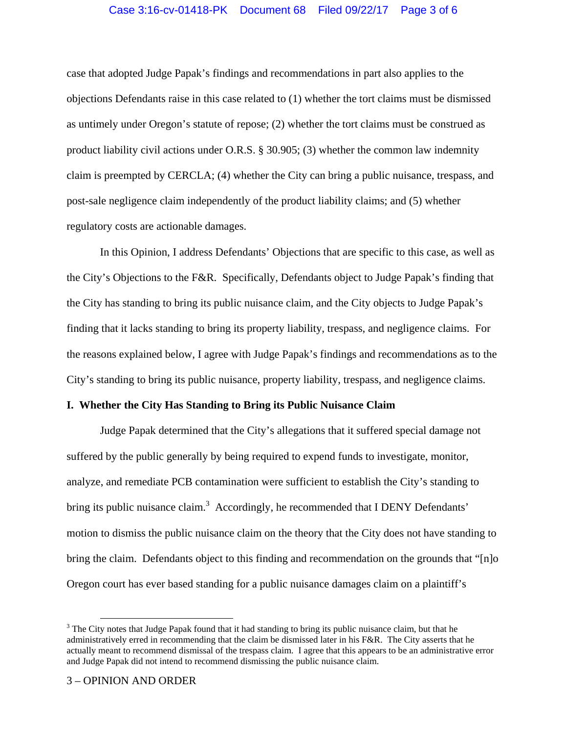## Case 3:16-cv-01418-PK Document 68 Filed 09/22/17 Page 3 of 6

case that adopted Judge Papak's findings and recommendations in part also applies to the objections Defendants raise in this case related to (1) whether the tort claims must be dismissed as untimely under Oregon's statute of repose; (2) whether the tort claims must be construed as product liability civil actions under O.R.S. § 30.905; (3) whether the common law indemnity claim is preempted by CERCLA; (4) whether the City can bring a public nuisance, trespass, and post-sale negligence claim independently of the product liability claims; and (5) whether regulatory costs are actionable damages.

In this Opinion, I address Defendants' Objections that are specific to this case, as well as the City's Objections to the F&R. Specifically, Defendants object to Judge Papak's finding that the City has standing to bring its public nuisance claim, and the City objects to Judge Papak's finding that it lacks standing to bring its property liability, trespass, and negligence claims. For the reasons explained below, I agree with Judge Papak's findings and recommendations as to the City's standing to bring its public nuisance, property liability, trespass, and negligence claims.

#### **I. Whether the City Has Standing to Bring its Public Nuisance Claim**

Judge Papak determined that the City's allegations that it suffered special damage not suffered by the public generally by being required to expend funds to investigate, monitor, analyze, and remediate PCB contamination were sufficient to establish the City's standing to bring its public nuisance claim.<sup>3</sup> Accordingly, he recommended that I DENY Defendants' motion to dismiss the public nuisance claim on the theory that the City does not have standing to bring the claim. Defendants object to this finding and recommendation on the grounds that "[n]o Oregon court has ever based standing for a public nuisance damages claim on a plaintiff's

 $3$  The City notes that Judge Papak found that it had standing to bring its public nuisance claim, but that he administratively erred in recommending that the claim be dismissed later in his F&R. The City asserts that he actually meant to recommend dismissal of the trespass claim. I agree that this appears to be an administrative error and Judge Papak did not intend to recommend dismissing the public nuisance claim.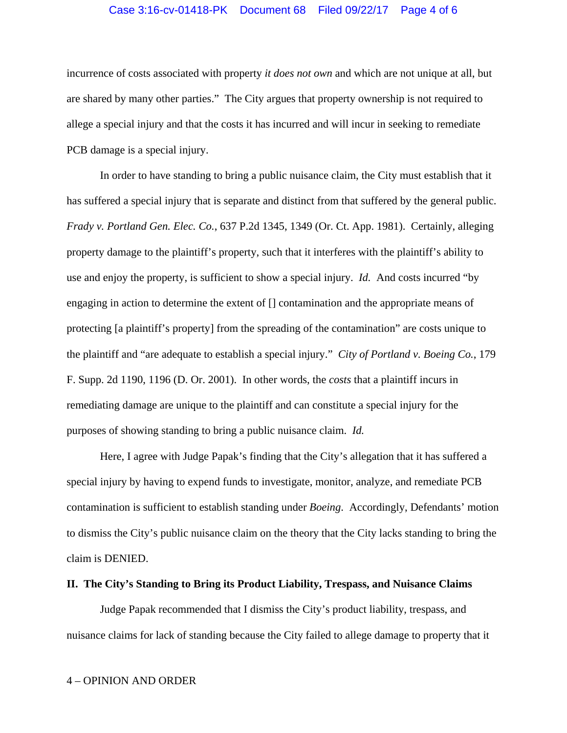### Case 3:16-cv-01418-PK Document 68 Filed 09/22/17 Page 4 of 6

incurrence of costs associated with property *it does not own* and which are not unique at all, but are shared by many other parties." The City argues that property ownership is not required to allege a special injury and that the costs it has incurred and will incur in seeking to remediate PCB damage is a special injury.

In order to have standing to bring a public nuisance claim, the City must establish that it has suffered a special injury that is separate and distinct from that suffered by the general public. *Frady v. Portland Gen. Elec. Co.*, 637 P.2d 1345, 1349 (Or. Ct. App. 1981). Certainly, alleging property damage to the plaintiff's property, such that it interferes with the plaintiff's ability to use and enjoy the property, is sufficient to show a special injury. *Id.* And costs incurred "by engaging in action to determine the extent of [] contamination and the appropriate means of protecting [a plaintiff's property] from the spreading of the contamination" are costs unique to the plaintiff and "are adequate to establish a special injury." *City of Portland v. Boeing Co.*, 179 F. Supp. 2d 1190, 1196 (D. Or. 2001). In other words, the *costs* that a plaintiff incurs in remediating damage are unique to the plaintiff and can constitute a special injury for the purposes of showing standing to bring a public nuisance claim. *Id.* 

Here, I agree with Judge Papak's finding that the City's allegation that it has suffered a special injury by having to expend funds to investigate, monitor, analyze, and remediate PCB contamination is sufficient to establish standing under *Boeing*. Accordingly, Defendants' motion to dismiss the City's public nuisance claim on the theory that the City lacks standing to bring the claim is DENIED.

### **II. The City's Standing to Bring its Product Liability, Trespass, and Nuisance Claims**

Judge Papak recommended that I dismiss the City's product liability, trespass, and nuisance claims for lack of standing because the City failed to allege damage to property that it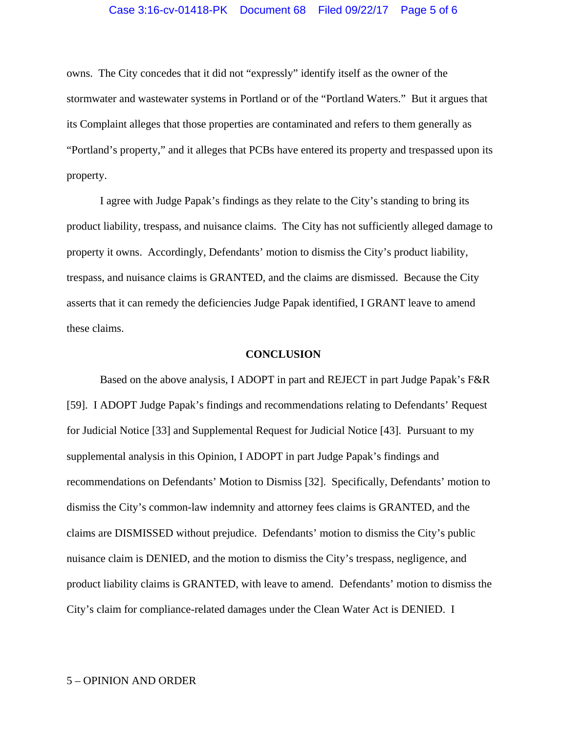#### Case 3:16-cv-01418-PK Document 68 Filed 09/22/17 Page 5 of 6

owns. The City concedes that it did not "expressly" identify itself as the owner of the stormwater and wastewater systems in Portland or of the "Portland Waters." But it argues that its Complaint alleges that those properties are contaminated and refers to them generally as "Portland's property," and it alleges that PCBs have entered its property and trespassed upon its property.

I agree with Judge Papak's findings as they relate to the City's standing to bring its product liability, trespass, and nuisance claims. The City has not sufficiently alleged damage to property it owns. Accordingly, Defendants' motion to dismiss the City's product liability, trespass, and nuisance claims is GRANTED, and the claims are dismissed. Because the City asserts that it can remedy the deficiencies Judge Papak identified, I GRANT leave to amend these claims.

#### **CONCLUSION**

Based on the above analysis, I ADOPT in part and REJECT in part Judge Papak's F&R [59]. I ADOPT Judge Papak's findings and recommendations relating to Defendants' Request for Judicial Notice [33] and Supplemental Request for Judicial Notice [43]. Pursuant to my supplemental analysis in this Opinion, I ADOPT in part Judge Papak's findings and recommendations on Defendants' Motion to Dismiss [32]. Specifically, Defendants' motion to dismiss the City's common-law indemnity and attorney fees claims is GRANTED, and the claims are DISMISSED without prejudice. Defendants' motion to dismiss the City's public nuisance claim is DENIED, and the motion to dismiss the City's trespass, negligence, and product liability claims is GRANTED, with leave to amend. Defendants' motion to dismiss the City's claim for compliance-related damages under the Clean Water Act is DENIED. I